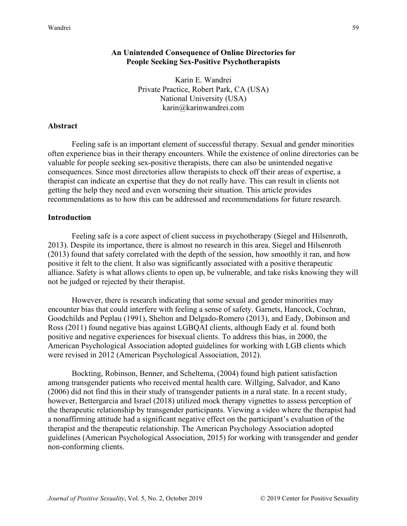# **An Unintended Consequence of Online Directories for People Seeking Sex-Positive Psychotherapists**

Karin E. Wandrei Private Practice, Robert Park, CA (USA) National University (USA) karin@karinwandrei.com

### **Abstract**

Feeling safe is an important element of successful therapy. Sexual and gender minorities often experience bias in their therapy encounters. While the existence of online directories can be valuable for people seeking sex-positive therapists, there can also be unintended negative consequences. Since most directories allow therapists to check off their areas of expertise, a therapist can indicate an expertise that they do not really have. This can result in clients not getting the help they need and even worsening their situation. This article provides recommendations as to how this can be addressed and recommendations for future research.

### **Introduction**

Feeling safe is a core aspect of client success in psychotherapy (Siegel and Hilsenroth, 2013). Despite its importance, there is almost no research in this area. Siegel and Hilsenroth (2013) found that safety correlated with the depth of the session, how smoothly it ran, and how positive it felt to the client. It also was significantly associated with a positive therapeutic alliance. Safety is what allows clients to open up, be vulnerable, and take risks knowing they will not be judged or rejected by their therapist.

However, there is research indicating that some sexual and gender minorities may encounter bias that could interfere with feeling a sense of safety. Garnets, Hancock, Cochran, Goodchilds and Peplau (1991), Shelton and Delgado-Romero (2013), and Eady, Dobinson and Ross (2011) found negative bias against LGBQAI clients, although Eady et al. found both positive and negative experiences for bisexual clients. To address this bias, in 2000, the American Psychological Association adopted guidelines for working with LGB clients which were revised in 2012 (American Psychological Association, 2012).

Bockting, Robinson, Benner, and Scheltema, (2004) found high patient satisfaction among transgender patients who received mental health care. Willging, Salvador, and Kano (2006) did not find this in their study of transgender patients in a rural state. In a recent study, however, Bettergarcia and Israel (2018) utilized mock therapy vignettes to assess perception of the therapeutic relationship by transgender participants. Viewing a video where the therapist had a nonaffirming attitude had a significant negative effect on the participant's evaluation of the therapist and the therapeutic relationship. The American Psychology Association adopted guidelines (American Psychological Association, 2015) for working with transgender and gender non-conforming clients.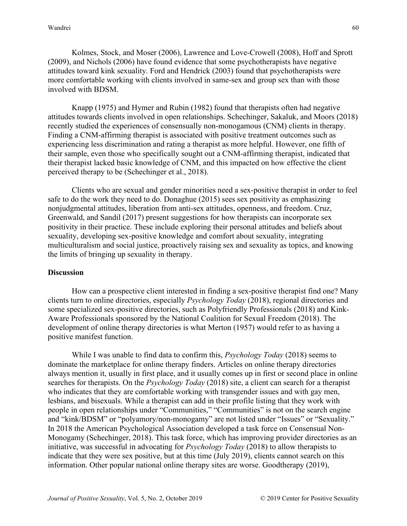Kolmes, Stock, and Moser (2006), Lawrence and Love-Crowell (2008), Hoff and Sprott (2009), and Nichols (2006) have found evidence that some psychotherapists have negative attitudes toward kink sexuality. Ford and Hendrick (2003) found that psychotherapists were more comfortable working with clients involved in same-sex and group sex than with those involved with BDSM.

Knapp (1975) and Hymer and Rubin (1982) found that therapists often had negative attitudes towards clients involved in open relationships. Schechinger, Sakaluk, and Moors (2018) recently studied the experiences of consensually non-monogamous (CNM) clients in therapy. Finding a CNM-affirming therapist is associated with positive treatment outcomes such as experiencing less discrimination and rating a therapist as more helpful. However, one fifth of their sample, even those who specifically sought out a CNM-affirming therapist, indicated that their therapist lacked basic knowledge of CNM, and this impacted on how effective the client perceived therapy to be (Schechinger et al., 2018).

Clients who are sexual and gender minorities need a sex-positive therapist in order to feel safe to do the work they need to do. Donaghue (2015) sees sex positivity as emphasizing nonjudgmental attitudes, liberation from anti-sex attitudes, openness, and freedom. Cruz, Greenwald, and Sandil (2017) present suggestions for how therapists can incorporate sex positivity in their practice. These include exploring their personal attitudes and beliefs about sexuality, developing sex-positive knowledge and comfort about sexuality, integrating multiculturalism and social justice, proactively raising sex and sexuality as topics, and knowing the limits of bringing up sexuality in therapy.

# **Discussion**

How can a prospective client interested in finding a sex-positive therapist find one? Many clients turn to online directories, especially *Psychology Today* (2018), regional directories and some specialized sex-positive directories, such as [Polyfriendly Professionals](http://www.polyfriendly.org/) (2018) and [Kink-](https://www.ncsfreedom.org/key-programs/kink-aware-professionals-59776)[Aware](https://www.ncsfreedom.org/key-programs/kink-aware-professionals-59776) Professionals sponsored by the National Coalition for Sexual Freedom (2018). The development of online therapy directories is what Merton (1957) would refer to as having a positive manifest function.

While I was unable to find data to confirm this, *Psychology Today* (2018) seems to dominate the marketplace for online therapy finders. Articles on online therapy directories always mention it, usually in first place, and it usually comes up in first or second place in online searches for therapists. On the *Psychology Today* (2018) site, a client can search for a therapist who indicates that they are comfortable working with transgender issues and with gay men, lesbians, and bisexuals. While a therapist can add in their profile listing that they work with people in open relationships under "Communities," "Communities" is not on the search engine and "kink/BDSM" or "polyamory/non-monogamy" are not listed under "Issues" or "Sexuality." In 2018 the American Psychological Association developed a task force on Consensual Non-Monogamy (Schechinger, 2018). This task force, which has improving provider directories as an initiative, was successful in advocating for *Psychology Today* (2018) to allow therapists to indicate that they were sex positive, but at this time (July 2019), clients cannot search on this information. Other popular national online therapy sites are worse. Goodtherapy (2019),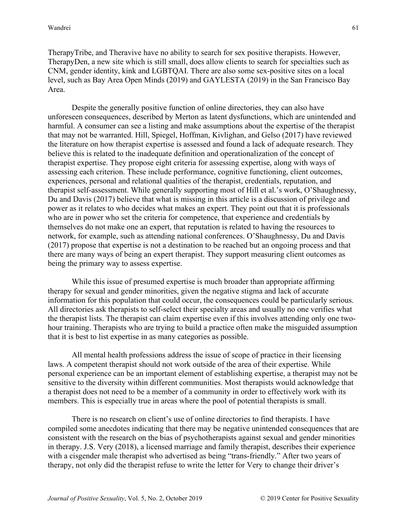TherapyTribe, and Theravive have no ability to search for sex positive therapists. However, TherapyDen, a new site which is still small, does allow clients to search for specialties such as CNM, gender identity, kink and LGBTQAI. There are also some sex-positive sites on a local level, such as Bay Area Open Minds (2019) and GAYLESTA (2019) in the San Francisco Bay Area.

Despite the generally positive function of online directories, they can also have unforeseen consequences, described by Merton as latent dysfunctions, which are unintended and harmful. A consumer can see a listing and make assumptions about the expertise of the therapist that may not be warranted. Hill, Spiegel, Hoffman, Kivlighan, and Gelso (2017) have reviewed the literature on how therapist expertise is assessed and found a lack of adequate research. They believe this is related to the inadequate definition and operationalization of the concept of therapist expertise. They propose eight criteria for assessing expertise, along with ways of assessing each criterion. These include performance, cognitive functioning, client outcomes, experiences, personal and relational qualities of the therapist, credentials, reputation, and therapist self-assessment. While generally supporting most of Hill et al.'s work, O'Shaughnessy, Du and Davis (2017) believe that what is missing in this article is a discussion of privilege and power as it relates to who decides what makes an expert. They point out that it is professionals who are in power who set the criteria for competence, that experience and credentials by themselves do not make one an expert, that reputation is related to having the resources to network, for example, such as attending national conferences. O'Shaughnessy, Du and Davis (2017) propose that expertise is not a destination to be reached but an ongoing process and that there are many ways of being an expert therapist. They support measuring client outcomes as being the primary way to assess expertise.

While this issue of presumed expertise is much broader than appropriate affirming therapy for sexual and gender minorities, given the negative stigma and lack of accurate information for this population that could occur, the consequences could be particularly serious. All directories ask therapists to self-select their specialty areas and usually no one verifies what the therapist lists. The therapist can claim expertise even if this involves attending only one twohour training. Therapists who are trying to build a practice often make the misguided assumption that it is best to list expertise in as many categories as possible.

All mental health professions address the issue of scope of practice in their licensing laws. A competent therapist should not work outside of the area of their expertise. While personal experience can be an important element of establishing expertise, a therapist may not be sensitive to the diversity within different communities. Most therapists would acknowledge that a therapist does not need to be a member of a community in order to effectively work with its members. This is especially true in areas where the pool of potential therapists is small.

There is no research on client's use of online directories to find therapists. I have compiled some anecdotes indicating that there may be negative unintended consequences that are consistent with the research on the bias of psychotherapists against sexual and gender minorities in therapy. J.S. Very (2018), a licensed marriage and family therapist, describes their experience with a cisgender male therapist who advertised as being "trans-friendly." After two years of therapy, not only did the therapist refuse to write the letter for Very to change their driver's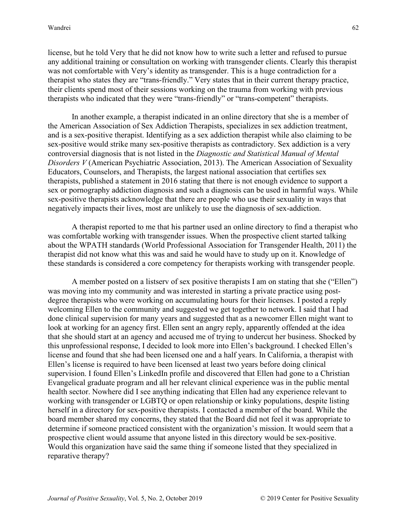license, but he told Very that he did not know how to write such a letter and refused to pursue any additional training or consultation on working with transgender clients. Clearly this therapist was not comfortable with Very's identity as transgender. This is a huge contradiction for a therapist who states they are "trans-friendly." Very states that in their current therapy practice, their clients spend most of their sessions working on the trauma from working with previous therapists who indicated that they were "trans-friendly" or "trans-competent" therapists.

In another example, a therapist indicated in an online directory that she is a member of the American Association of Sex Addiction Therapists, specializes in sex addiction treatment, and is a sex-positive therapist. Identifying as a sex addiction therapist while also claiming to be sex-positive would strike many sex-positive therapists as contradictory. Sex addiction is a very controversial diagnosis that is not listed in the *Diagnostic and Statistical Manual of Mental Disorders V* (American Psychiatric Association, 2013). The American Association of Sexuality Educators, Counselors, and Therapists, the largest national association that certifies sex therapists, published a statement in 2016 stating that there is not enough evidence to support a sex or pornography addiction diagnosis and such a diagnosis can be used in harmful ways. While sex-positive therapists acknowledge that there are people who use their sexuality in ways that negatively impacts their lives, most are unlikely to use the diagnosis of sex-addiction.

A therapist reported to me that his partner used an online directory to find a therapist who was comfortable working with transgender issues. When the prospective client started talking about the WPATH standards (World Professional Association for Transgender Health, 2011) the therapist did not know what this was and said he would have to study up on it. Knowledge of these standards is considered a core competency for therapists working with transgender people.

A member posted on a listserv of sex positive therapists I am on stating that she ("Ellen") was moving into my community and was interested in starting a private practice using postdegree therapists who were working on accumulating hours for their licenses. I posted a reply welcoming Ellen to the community and suggested we get together to network. I said that I had done clinical supervision for many years and suggested that as a newcomer Ellen might want to look at working for an agency first. Ellen sent an angry reply, apparently offended at the idea that she should start at an agency and accused me of trying to undercut her business. Shocked by this unprofessional response, I decided to look more into Ellen's background. I checked Ellen's license and found that she had been licensed one and a half years. In California, a therapist with Ellen's license is required to have been licensed at least two years before doing clinical supervision. I found Ellen's LinkedIn profile and discovered that Ellen had gone to a Christian Evangelical graduate program and all her relevant clinical experience was in the public mental health sector. Nowhere did I see anything indicating that Ellen had any experience relevant to working with transgender or LGBTQ or open relationship or kinky populations, despite listing herself in a directory for sex-positive therapists. I contacted a member of the board. While the board member shared my concerns, they stated that the Board did not feel it was appropriate to determine if someone practiced consistent with the organization's mission. It would seem that a prospective client would assume that anyone listed in this directory would be sex-positive. Would this organization have said the same thing if someone listed that they specialized in reparative therapy?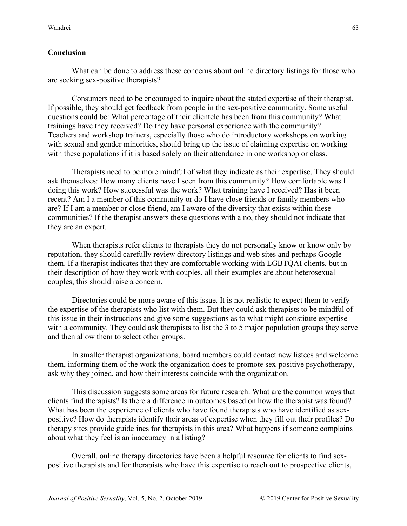# **Conclusion**

What can be done to address these concerns about online directory listings for those who are seeking sex-positive therapists?

Consumers need to be encouraged to inquire about the stated expertise of their therapist. If possible, they should get feedback from people in the sex-positive community. Some useful questions could be: What percentage of their clientele has been from this community? What trainings have they received? Do they have personal experience with the community? Teachers and workshop trainers, especially those who do introductory workshops on working with sexual and gender minorities, should bring up the issue of claiming expertise on working with these populations if it is based solely on their attendance in one workshop or class.

Therapists need to be more mindful of what they indicate as their expertise. They should ask themselves: How many clients have I seen from this community? How comfortable was I doing this work? How successful was the work? What training have I received? Has it been recent? Am I a member of this community or do I have close friends or family members who are? If I am a member or close friend, am I aware of the diversity that exists within these communities? If the therapist answers these questions with a no, they should not indicate that they are an expert.

When therapists refer clients to therapists they do not personally know or know only by reputation, they should carefully review directory listings and web sites and perhaps Google them. If a therapist indicates that they are comfortable working with LGBTQAI clients, but in their description of how they work with couples, all their examples are about heterosexual couples, this should raise a concern.

Directories could be more aware of this issue. It is not realistic to expect them to verify the expertise of the therapists who list with them. But they could ask therapists to be mindful of this issue in their instructions and give some suggestions as to what might constitute expertise with a community. They could ask therapists to list the 3 to 5 major population groups they serve and then allow them to select other groups.

In smaller therapist organizations, board members could contact new listees and welcome them, informing them of the work the organization does to promote sex-positive psychotherapy, ask why they joined, and how their interests coincide with the organization.

This discussion suggests some areas for future research. What are the common ways that clients find therapists? Is there a difference in outcomes based on how the therapist was found? What has been the experience of clients who have found therapists who have identified as sexpositive? How do therapists identify their areas of expertise when they fill out their profiles? Do therapy sites provide guidelines for therapists in this area? What happens if someone complains about what they feel is an inaccuracy in a listing?

Overall, online therapy directories have been a helpful resource for clients to find sexpositive therapists and for therapists who have this expertise to reach out to prospective clients,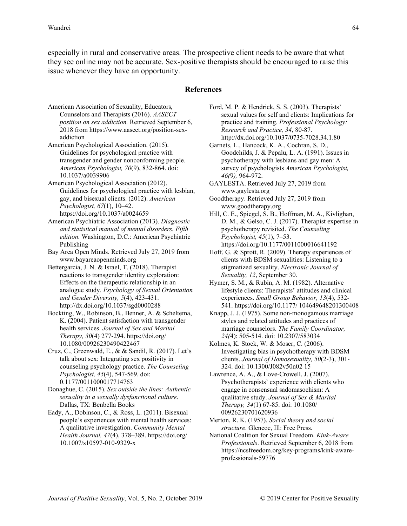especially in rural and conservative areas. The prospective client needs to be aware that what they see online may not be accurate. Sex-positive therapists should be encouraged to raise this issue whenever they have an opportunity.

#### **References**

- American Association of Sexuality, Educators, Counselors and Therapists (2016). *AASECT position on sex addiction.* Retrieved September 6, 2018 fro[m https://www.aasect.org/position-sex](https://www.aasect.org/position-sex-addiction)[addiction](https://www.aasect.org/position-sex-addiction)
- American Psychological Association. (2015). Guidelines for psychological practice with transgender and gender nonconforming people. *American Psychologist, 70*(9), 832-864. doi: 10.1037/a0039906
- American Psychological Association (2012). Guidelines for psychological practice with lesbian, gay, and bisexual clients. (2012). *American Psychologist, 67*(1), 10–42. <https://doi.org/10.1037/a0024659>
- American Psychiatric Association (2013). *Diagnostic and statistical manual of mental disorders. Fifth edition.* Washington, D.C.: American Psychiatric Publishing
- Bay Area Open Minds. Retrieved July 27, 2019 from www.bayareaopenminds.org
- Bettergarcia, J. N. & Israel, T. (2018). Therapist reactions to transgender identity exploration: Effects on the therapeutic relationship in an analogue study*. Psychology of Sexual Orientation and Gender Diversity, 5*(4), 423-431. http://dx.doi.org/10.1037/sgd0000288
- Bockting, W., Robinson, B., Benner, A. & Scheltema, K. (2004). Patient satisfaction with transgender health services. *Journal of Sex and Marital Therapy, 30*(4) 277-294. https://doi.org/ 10.1080/00926230490422467
- Cruz, C., Greenwald, E., & & Sandil, R. (2017). Let's talk about sex: Integrating sex positivity in counseling psychology practice. *The Counseling Psychologist, 45*(4), 547-569. doi: 0.1177/0011000017714763
- Donaghue, C. (2015). *Sex outside the lines: Authentic sexuality in a sexually dysfunctional culture*. Dallas, TX: Benbella Books
- Eady, A., Dobinson, C., & Ross, L. (2011). Bisexual people's experiences with mental health services: A qualitative investigation. *Community Mental Health Journal, 47*(4), 378–389. https://doi.org/ 10.1007/s10597-010-9329-x
- Ford, M. P. & Hendrick, S. S. (2003). Therapists' sexual values for self and clients: Implications for practice and training. *Professional Psychology: Research and Practice, 34*, 80-87. http://dx.doi.org/10.1037/0735-7028.34.1.80
- Garnets, L., Hancock, K. A., Cochran, S. D., Goodchilds, J. & Pepalu, L. A. (1991). Issues in psychotherapy with lesbians and gay men: A survey of psychologists *American Psychologist, 46(*9*),* 964-972.
- GAYLESTA. Retrieved July 27, 2019 from [www.gaylesta.org](http://www.gaylesta.org/)
- Goodtherapy. Retrieved July 27, 2019 from [www.goodtherapy.org](http://www.goodtherapy.org/)
- Hill, C. E., Spiegel, S. B., Hoffman, M. A., Kivlighan, D. M., & Gelso, C. J. (2017). Therapist expertise in psychotherapy revisited. *The Counseling Psychologist, 45*(1), 7–53. <https://doi.org/10.1177/0011000016641192>
- Hoff, G. & Sprott, R. (2009). Therapy experiences of clients with BDSM sexualities: Listening to a stigmatized sexuality. *Electronic Journal of Sexuality, 12*, September 30.
- Hymer, S. M., & Rubin, A. M. (1982). Alternative lifestyle clients: Therapists' attitudes and clinical experiences. *Small Group Behavior, 13*(4), 532- 541. https://doi.org/10.1177/ 104649648201300408
- Knapp, J. J. (1975). Some non-monogamous marriage styles and related attitudes and practices of marriage counselors. *The Family Coordinator, 24(*4): 505-514. doi: 10.2307/583034
- Kolmes, K. Stock, W. & Moser, C. (2006). Investigating bias in psychotherapy with BDSM clients. *Journal of Homosexuality, 50*(2-3), 301- 324. doi: 10.1300/J082v50n02 15
- Lawrence, A. A., & Love-Crowell, J. (2007). Psychotherapists' experience with clients who engage in consensual sadomasochism: A qualitative study. *Journal of Sex & Marital Therapy, 34*(1) 67-85. doi: [10.1080/](https://doi-org.nuls.idm.oclc.org/10.1080/00926230701620936) [00926230701620936](https://doi-org.nuls.idm.oclc.org/10.1080/00926230701620936)
- Merton, R. K. (1957). *Social theory and social structure*. Glencoe, Ill: Free Press.
- National Coalition for Sexual Freedom. *Kink-Aware Professionals*. Retrieved September 6, 2018 from [https://ncsfreedom.org/key-programs/kink-aware](https://ncsfreedom.org/key-programs/kink-aware-professionals-59776)[professionals-59776](https://ncsfreedom.org/key-programs/kink-aware-professionals-59776)